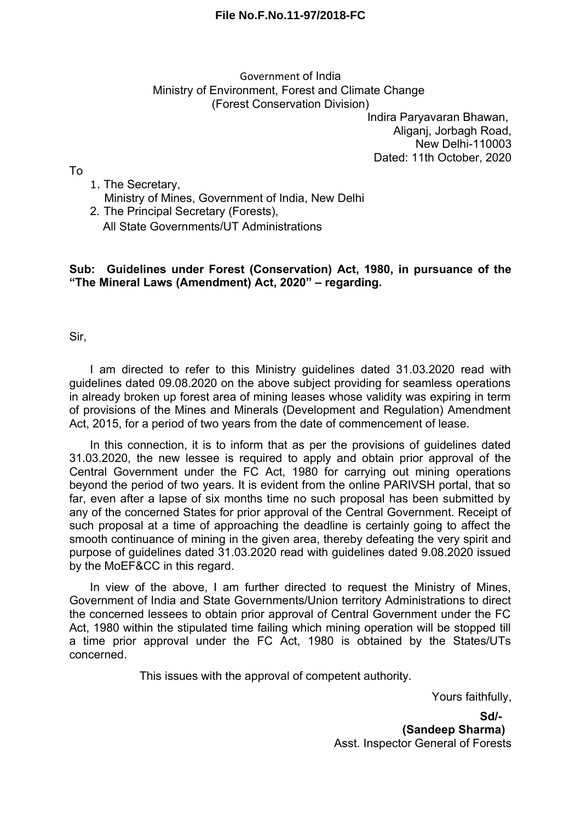## **File No.F.No.11-97/2018-FC**

## Government of India Ministry of Environment, Forest and Climate Change (Forest Conservation Division)

Indira Paryavaran Bhawan, Aliganj, Jorbagh Road, New Delhi-110003 Dated: 11th October, 2020

To

- 1. The Secretary, Ministry of Mines, Government of India, New Delhi
- 2. The Principal Secretary (Forests), All State Governments/UT Administrations

## **Sub: Guidelines under Forest (Conservation) Act, 1980, in pursuance of the "The Mineral Laws (Amendment) Act, 2020" – regarding.**

Sir,

I am directed to refer to this Ministry guidelines dated 31.03.2020 read with guidelines dated 09.08.2020 on the above subject providing for seamless operations in already broken up forest area of mining leases whose validity was expiring in term of provisions of the Mines and Minerals (Development and Regulation) Amendment Act, 2015, for a period of two years from the date of commencement of lease.

In this connection, it is to inform that as per the provisions of guidelines dated 31.03.2020, the new lessee is required to apply and obtain prior approval of the Central Government under the FC Act, 1980 for carrying out mining operations beyond the period of two years. It is evident from the online PARIVSH portal, that so far, even after a lapse of six months time no such proposal has been submitted by any of the concerned States for prior approval of the Central Government. Receipt of such proposal at a time of approaching the deadline is certainly going to affect the smooth continuance of mining in the given area, thereby defeating the very spirit and purpose of guidelines dated 31.03.2020 read with guidelines dated 9.08.2020 issued by the MoEF&CC in this regard.

In view of the above, I am further directed to request the Ministry of Mines, Government of India and State Governments/Union territory Administrations to direct the concerned lessees to obtain prior approval of Central Government under the FC Act, 1980 within the stipulated time failing which mining operation will be stopped till a time prior approval under the FC Act, 1980 is obtained by the States/UTs concerned.

This issues with the approval of competent authority.

Yours faithfully,

**Sd/- (Sandeep Sharma)** Asst. Inspector General of Forests